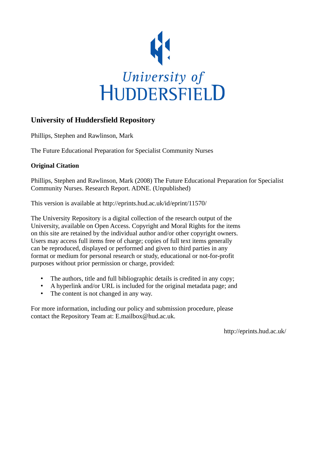

## **University of Huddersfield Repository**

Phillips, Stephen and Rawlinson, Mark

The Future Educational Preparation for Specialist Community Nurses

## **Original Citation**

Phillips, Stephen and Rawlinson, Mark (2008) The Future Educational Preparation for Specialist Community Nurses. Research Report. ADNE. (Unpublished)

This version is available at http://eprints.hud.ac.uk/id/eprint/11570/

The University Repository is a digital collection of the research output of the University, available on Open Access. Copyright and Moral Rights for the items on this site are retained by the individual author and/or other copyright owners. Users may access full items free of charge; copies of full text items generally can be reproduced, displayed or performed and given to third parties in any format or medium for personal research or study, educational or not-for-profit purposes without prior permission or charge, provided:

- The authors, title and full bibliographic details is credited in any copy;
- A hyperlink and/or URL is included for the original metadata page; and
- The content is not changed in any way.

For more information, including our policy and submission procedure, please contact the Repository Team at: E.mailbox@hud.ac.uk.

http://eprints.hud.ac.uk/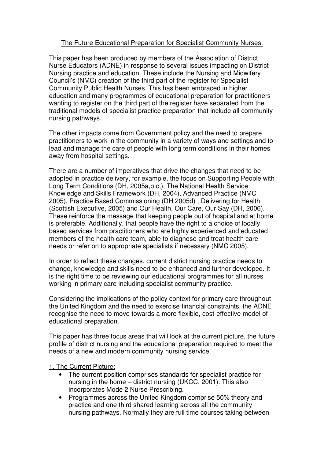## The Future Educational Preparation for Specialist Community Nurses.

This paper has been produced by members of the Association of District Nurse Educators (ADNE) in response to several issues impacting on District Nursing practice and education. These include the Nursing and Midwifery Council's (NMC) creation of the third part of the register for Specialist Community Public Health Nurses. This has been embraced in higher education and many programmes of educational preparation for practitioners wanting to register on the third part of the register have separated from the traditional models of specialist practice preparation that include all community nursing pathways.

The other impacts come from Government policy and the need to prepare practitioners to work in the community in a variety of ways and settings and to lead and manage the care of people with long term conditions in their homes away from hospital settings.

There are a number of imperatives that drive the changes that need to be adopted in practice delivery, for example, the focus on Supporting People with Long Term Conditions (DH, 2005a,b,c,), The National Health Service Knowledge and Skills Framework (DH, 2004), Advanced Practice (NMC 2005), Practice Based Commissioning (DH 2005d) , Delivering for Health (Scottish Executive, 2005) and Our Health, Our Care, Our Say (DH, 2006). These reinforce the message that keeping people out of hospital and at home is preferable. Additionally, that people have the right to a choice of locally based services from practitioners who are highly experienced and educated members of the health care team, able to diagnose and treat health care needs or refer on to appropriate specialists if necessary (NMC 2005).

In order to reflect these changes, current district nursing practice needs to change, knowledge and skills need to be enhanced and further developed. It is the right time to be reviewing our educational programmes for all nurses working in primary care including specialist community practice.

Considering the implications of the policy context for primary care throughout the United Kingdom and the need to exercise financial constraints, the ADNE recognise the need to move towards a more flexible, cost-effective model of educational preparation.

This paper has three focus areas that will look at the current picture, the future profile of district nursing and the educational preparation required to meet the needs of a new and modern community nursing service.

1. The Current Picture:

- The current position comprises standards for specialist practice for nursing in the home – district nursing (UKCC, 2001). This also incorporates Mode 2 Nurse Prescribing.
- Programmes across the United Kingdom comprise 50% theory and practice and one third shared learning across all the community nursing pathways. Normally they are full time courses taking between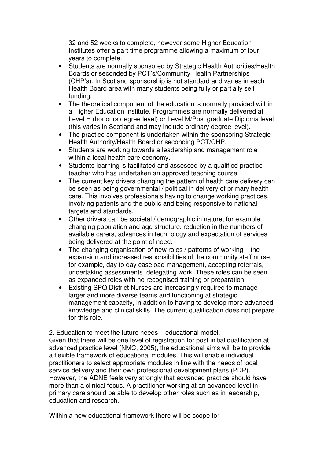32 and 52 weeks to complete, however some Higher Education Institutes offer a part time programme allowing a maximum of four years to complete.

- Students are normally sponsored by Strategic Health Authorities/Health Boards or seconded by PCT's/Community Health Partnerships (CHP's). In Scotland sponsorship is not standard and varies in each Health Board area with many students being fully or partially self funding.
- The theoretical component of the education is normally provided within a Higher Education Institute. Programmes are normally delivered at Level H (honours degree level) or Level M/Post graduate Diploma level (this varies in Scotland and may include ordinary degree level).
- The practice component is undertaken within the sponsoring Strategic Health Authority/Health Board or seconding PCT/CHP.
- Students are working towards a leadership and management role within a local health care economy.
- Students learning is facilitated and assessed by a qualified practice teacher who has undertaken an approved teaching course.
- The current key drivers changing the pattern of health care delivery can be seen as being governmental / political in delivery of primary health care. This involves professionals having to change working practices, involving patients and the public and being responsive to national targets and standards.
- Other drivers can be societal / demographic in nature, for example, changing population and age structure, reduction in the numbers of available carers, advances in technology and expectation of services being delivered at the point of need.
- The changing organisation of new roles / patterns of working  $-$  the expansion and increased responsibilities of the community staff nurse, for example, day to day caseload management, accepting referrals, undertaking assessments, delegating work. These roles can be seen as expanded roles with no recognised training or preparation.
- Existing SPQ District Nurses are increasingly required to manage larger and more diverse teams and functioning at strategic management capacity, in addition to having to develop more advanced knowledge and clinical skills. The current qualification does not prepare for this role.

2. Education to meet the future needs - educational model.

Given that there will be one level of registration for post initial qualification at advanced practice level (NMC, 2005), the educational aims will be to provide a flexible framework of educational modules. This will enable individual practitioners to select appropriate modules in line with the needs of local service delivery and their own professional development plans (PDP). However, the ADNE feels very strongly that advanced practice should have more than a clinical focus. A practitioner working at an advanced level in primary care should be able to develop other roles such as in leadership, education and research.

Within a new educational framework there will be scope for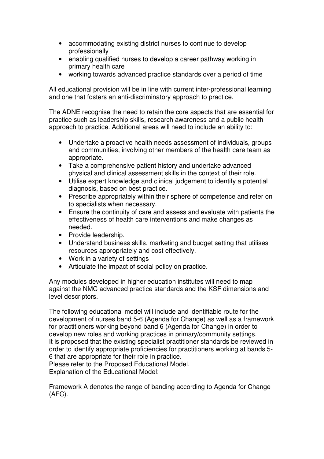- accommodating existing district nurses to continue to develop professionally
- enabling qualified nurses to develop a career pathway working in primary health care
- working towards advanced practice standards over a period of time

All educational provision will be in line with current inter-professional learning and one that fosters an anti-discriminatory approach to practice.

The ADNE recognise the need to retain the core aspects that are essential for practice such as leadership skills, research awareness and a public health approach to practice. Additional areas will need to include an ability to:

- Undertake a proactive health needs assessment of individuals, groups and communities, involving other members of the health care team as appropriate.
- Take a comprehensive patient history and undertake advanced physical and clinical assessment skills in the context of their role.
- Utilise expert knowledge and clinical judgement to identify a potential diagnosis, based on best practice.
- Prescribe appropriately within their sphere of competence and refer on to specialists when necessary.
- Ensure the continuity of care and assess and evaluate with patients the effectiveness of health care interventions and make changes as needed.
- Provide leadership.
- Understand business skills, marketing and budget setting that utilises resources appropriately and cost effectively.
- Work in a variety of settings
- Articulate the impact of social policy on practice.

Any modules developed in higher education institutes will need to map against the NMC advanced practice standards and the KSF dimensions and level descriptors.

The following educational model will include and identifiable route for the development of nurses band 5-6 (Agenda for Change) as well as a framework for practitioners working beyond band 6 (Agenda for Change) in order to develop new roles and working practices in primary/community settings. It is proposed that the existing specialist practitioner standards be reviewed in order to identify appropriate proficiencies for practitioners working at bands 5- 6 that are appropriate for their role in practice.

Please refer to the Proposed Educational Model. Explanation of the Educational Model:

Framework A denotes the range of banding according to Agenda for Change (AFC).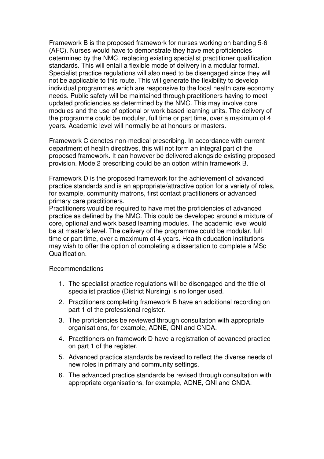Framework B is the proposed framework for nurses working on banding 5-6 (AFC). Nurses would have to demonstrate they have met proficiencies determined by the NMC, replacing existing specialist practitioner qualification standards. This will entail a flexible mode of delivery in a modular format. Specialist practice regulations will also need to be disengaged since they will not be applicable to this route. This will generate the flexibility to develop individual programmes which are responsive to the local health care economy needs. Public safety will be maintained through practitioners having to meet updated proficiencies as determined by the NMC. This may involve core modules and the use of optional or work based learning units. The delivery of the programme could be modular, full time or part time, over a maximum of 4 years. Academic level will normally be at honours or masters.

Framework C denotes non-medical prescribing. In accordance with current department of health directives, this will not form an integral part of the proposed framework. It can however be delivered alongside existing proposed provision. Mode 2 prescribing could be an option within framework B.

Framework D is the proposed framework for the achievement of advanced practice standards and is an appropriate/attractive option for a variety of roles, for example, community matrons, first contact practitioners or advanced primary care practitioners.

Practitioners would be required to have met the proficiencies of advanced practice as defined by the NMC. This could be developed around a mixture of core, optional and work based learning modules. The academic level would be at master's level. The delivery of the programme could be modular, full time or part time, over a maximum of 4 years. Health education institutions may wish to offer the option of completing a dissertation to complete a MSc Qualification.

#### Recommendations

- 1. The specialist practice regulations will be disengaged and the title of specialist practice (District Nursing) is no longer used.
- 2. Practitioners completing framework B have an additional recording on part 1 of the professional register.
- 3. The proficiencies be reviewed through consultation with appropriate organisations, for example, ADNE, QNI and CNDA.
- 4. Practitioners on framework D have a registration of advanced practice on part 1 of the register.
- 5. Advanced practice standards be revised to reflect the diverse needs of new roles in primary and community settings.
- 6. The advanced practice standards be revised through consultation with appropriate organisations, for example, ADNE, QNI and CNDA.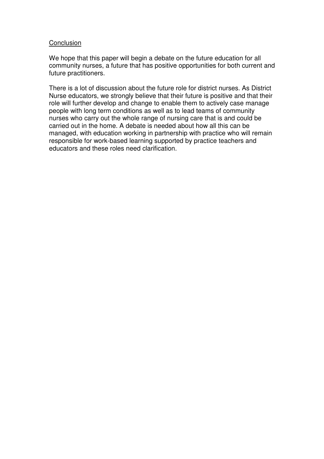#### **Conclusion**

We hope that this paper will begin a debate on the future education for all community nurses, a future that has positive opportunities for both current and future practitioners.

There is a lot of discussion about the future role for district nurses. As District Nurse educators, we strongly believe that their future is positive and that their role will further develop and change to enable them to actively case manage people with long term conditions as well as to lead teams of community nurses who carry out the whole range of nursing care that is and could be carried out in the home. A debate is needed about how all this can be managed, with education working in partnership with practice who will remain responsible for work-based learning supported by practice teachers and educators and these roles need clarification.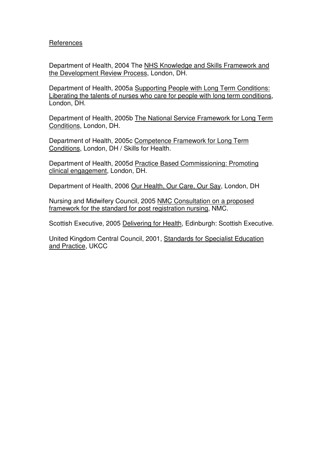### References

Department of Health, 2004 The NHS Knowledge and Skills Framework and the Development Review Process, London, DH.

Department of Health, 2005a Supporting People with Long Term Conditions: Liberating the talents of nurses who care for people with long term conditions, London, DH.

Department of Health, 2005b The National Service Framework for Long Term Conditions, London, DH.

Department of Health, 2005c Competence Framework for Long Term Conditions, London, DH / Skills for Health.

Department of Health, 2005d Practice Based Commissioning: Promoting clinical engagement, London, DH.

Department of Health, 2006 Our Health, Our Care, Our Say, London, DH

Nursing and Midwifery Council, 2005 NMC Consultation on a proposed framework for the standard for post registration nursing, NMC.

Scottish Executive, 2005 Delivering for Health, Edinburgh: Scottish Executive.

United Kingdom Central Council, 2001, Standards for Specialist Education and Practice, UKCC